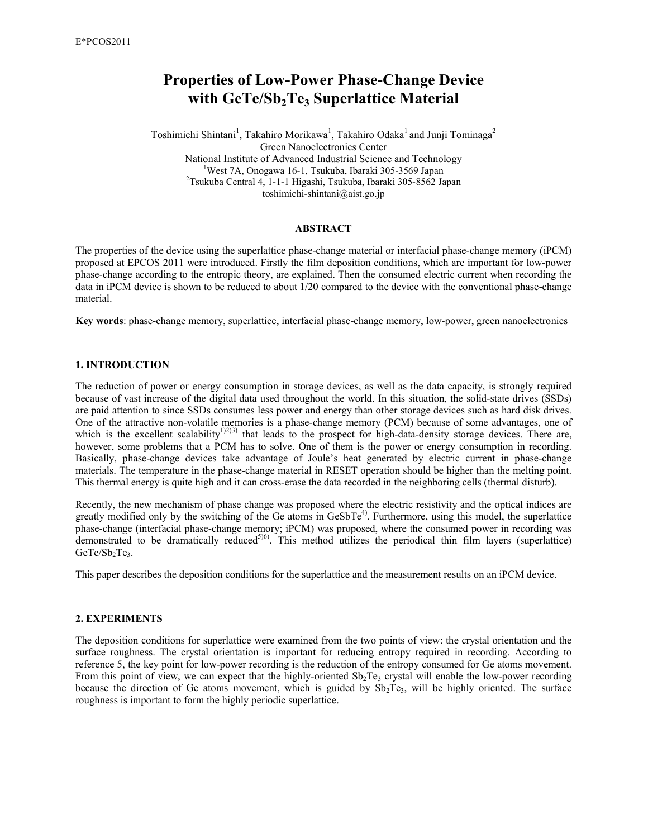# **Properties of Low-Power Phase-Change Device with GeTe/Sb2Te3 Superlattice Material**

Toshimichi Shintani<sup>1</sup>, Takahiro Morikawa<sup>1</sup>, Takahiro Odaka<sup>1</sup> and Junji Tominaga<sup>2</sup> Green Nanoelectronics Center National Institute of Advanced Industrial Science and Technology <sup>1</sup>West 7A, Onogawa 16-1, Tsukuba, Ibaraki 305-3569 Japan 2 Tsukuba Central 4, 1-1-1 Higashi, Tsukuba, Ibaraki 305-8562 Japan toshimichi-shintani@aist.go.jp

## **ABSTRACT**

The properties of the device using the superlattice phase-change material or interfacial phase-change memory (iPCM) proposed at EPCOS 2011 were introduced. Firstly the film deposition conditions, which are important for low-power phase-change according to the entropic theory, are explained. Then the consumed electric current when recording the data in iPCM device is shown to be reduced to about 1/20 compared to the device with the conventional phase-change material.

**Key words**: phase-change memory, superlattice, interfacial phase-change memory, low-power, green nanoelectronics

## **1. INTRODUCTION**

The reduction of power or energy consumption in storage devices, as well as the data capacity, is strongly required because of vast increase of the digital data used throughout the world. In this situation, the solid-state drives (SSDs) are paid attention to since SSDs consumes less power and energy than other storage devices such as hard disk drives. One of the attractive non-volatile memories is a phase-change memory (PCM) because of some advantages, one of which is the excellent scalability<sup>1)2)3)</sup> that leads to the prospect for high-data-density storage devices. There are, however, some problems that a PCM has to solve. One of them is the power or energy consumption in recording. Basically, phase-change devices take advantage of Joule's heat generated by electric current in phase-change materials. The temperature in the phase-change material in RESET operation should be higher than the melting point. This thermal energy is quite high and it can cross-erase the data recorded in the neighboring cells (thermal disturb).

Recently, the new mechanism of phase change was proposed where the electric resistivity and the optical indices are greatly modified only by the switching of the Ge atoms in  $GeSbTe^{4}$ . Furthermore, using this model, the superlattice phase-change (interfacial phase-change memory; iPCM) was proposed, where the consumed power in recording was demonstrated to be dramatically reduced<sup>5)6</sup>. This method utilizes the periodical thin film layers (superlattice) GeTe/Sb<sub>2</sub>Te<sub>3</sub>.

This paper describes the deposition conditions for the superlattice and the measurement results on an iPCM device.

# **2. EXPERIMENTS**

The deposition conditions for superlattice were examined from the two points of view: the crystal orientation and the surface roughness. The crystal orientation is important for reducing entropy required in recording. According to reference 5, the key point for low-power recording is the reduction of the entropy consumed for Ge atoms movement. From this point of view, we can expect that the highly-oriented  $Sb_2Te_3$  crystal will enable the low-power recording because the direction of Ge atoms movement, which is guided by  $Sb_2Te_3$ , will be highly oriented. The surface roughness is important to form the highly periodic superlattice.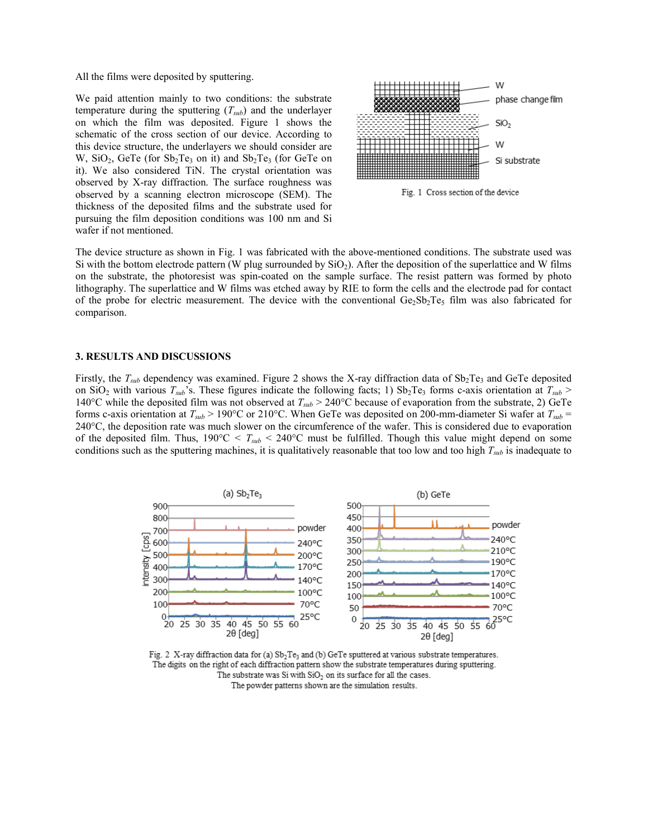All the films were deposited by sputtering.

We paid attention mainly to two conditions: the substrate temperature during the sputtering (*Tsub*) and the underlayer on which the film was deposited. Figure 1 shows the schematic of the cross section of our device. According to this device structure, the underlayers we should consider are W,  $SiO<sub>2</sub>$ , GeTe (for  $Sb<sub>2</sub>Te<sub>3</sub>$  on it) and  $Sb<sub>2</sub>Te<sub>3</sub>$  (for GeTe on it). We also considered TiN. The crystal orientation was observed by X-ray diffraction. The surface roughness was observed by a scanning electron microscope (SEM). The thickness of the deposited films and the substrate used for pursuing the film deposition conditions was 100 nm and Si wafer if not mentioned.



The device structure as shown in Fig. 1 was fabricated with the above-mentioned conditions. The substrate used was Si with the bottom electrode pattern (W plug surrounded by  $SiO<sub>2</sub>$ ). After the deposition of the superlattice and W films on the substrate, the photoresist was spin-coated on the sample surface. The resist pattern was formed by photo lithography. The superlattice and W films was etched away by RIE to form the cells and the electrode pad for contact of the probe for electric measurement. The device with the conventional  $Ge_2Sb_2Te_5$  film was also fabricated for comparison.

#### **3. RESULTS AND DISCUSSIONS**

Firstly, the  $T_{sub}$  dependency was examined. Figure 2 shows the X-ray diffraction data of  $Sb_2Te_3$  and GeTe deposited on SiO<sub>2</sub> with various  $T_{sub}$ 's. These figures indicate the following facts; 1) Sb<sub>2</sub>Te<sub>3</sub> forms c-axis orientation at  $T_{sub} >$ 140°C while the deposited film was not observed at *Tsub* > 240°C because of evaporation from the substrate, 2) GeTe forms c-axis orientation at  $T_{sub}$  > 190°C or 210°C. When GeTe was deposited on 200-mm-diameter Si wafer at  $T_{sub}$  = 240°C, the deposition rate was much slower on the circumference of the wafer. This is considered due to evaporation of the deposited film. Thus,  $190^{\circ}C < T_{sub} < 240^{\circ}C$  must be fulfilled. Though this value might depend on some conditions such as the sputtering machines, it is qualitatively reasonable that too low and too high *Tsub* is inadequate to



Fig. 2 X-ray diffraction data for (a) Sb<sub>2</sub>Te<sub>3</sub> and (b) GeTe sputtered at various substrate temperatures. The digits on the right of each diffraction pattern show the substrate temperatures during sputtering. The substrate was Si with  $SiO<sub>2</sub>$  on its surface for all the cases. The powder patterns shown are the simulation results.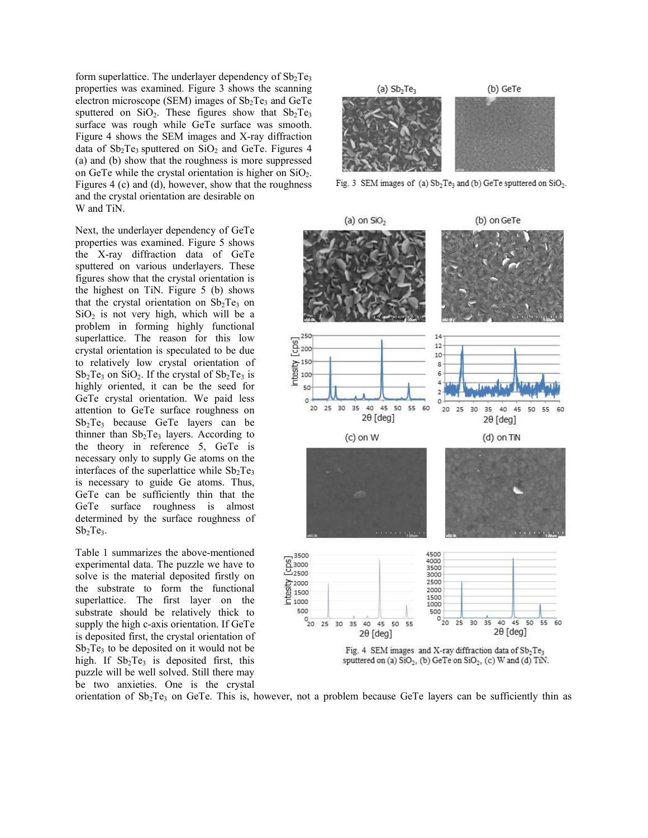form superlattice. The underlayer dependency of  $Sb<sub>2</sub>Te<sub>3</sub>$ properties was examined. Figure 3 shows the scanning electron microscope (SEM) images of  $Sb<sub>2</sub>Te<sub>3</sub>$  and GeTe sputtered on  $SiO<sub>2</sub>$ . These figures show that  $Sb<sub>2</sub>Te<sub>3</sub>$ surface was rough while GeTe surface was smooth. Figure 4 shows the SEM images and X-ray diffraction data of  $Sb_2Te_3$  sputtered on  $SiO_2$  and GeTe. Figures 4 (a) and (b) show that the roughness is more suppressed on GeTe while the crystal orientation is higher on  $SiO<sub>2</sub>$ . Figures 4 (c) and (d), however, show that the roughness and the crystal orientation are desirable on W and TiN.

Next, the underlayer dependency of GeTe properties was examined. Figure 5 shows the X-ray diffraction data of GeTe sputtered on various underlayers. These figures show that the crystal orientation is the highest on TiN. Figure 5 (b) shows that the crystal orientation on  $Sb<sub>2</sub>Te<sub>3</sub>$  on  $SiO<sub>2</sub>$  is not very high, which will be a problem in forming highly functional superlattice. The reason for this low crystal orientation is speculated to be due to relatively low crystal orientation of  $Sb_2Te_3$  on  $SiO_2$ . If the crystal of  $Sb_2Te_3$  is highly oriented, it can be the seed for GeTe crystal orientation. We paid less attention to GeTe surface roughness on  $Sb<sub>2</sub>Te<sub>3</sub>$  because GeTe layers can be thinner than  $Sb_2Te_3$  layers. According to the theory in reference 5, GeTe is necessary only to supply Ge atoms on the interfaces of the superlattice while  $Sb_2Te_3$ is necessary to guide Ge atoms. Thus, GeTe can be sufficiently thin that the GeTe surface roughness is almost determined by the surface roughness of  $Sb<sub>2</sub>Te<sub>3</sub>$ .

Table 1 summarizes the above-mentioned experimental data. The puzzle we have to solve is the material deposited firstly on the substrate to form the functional superlattice. The first layer on the substrate should be relatively thick to supply the high c-axis orientation. If GeTe is deposited first, the crystal orientation of  $Sb<sub>2</sub>Te<sub>3</sub>$  to be deposited on it would not be high. If  $Sb_2Te_3$  is deposited first, this puzzle will be well solved. Still there may be two anxieties. One is the crystal



Fig. 3 SEM images of (a)  $Sb_2Te_3$  and (b) GeTe sputtered on  $SiO_2$ .



orientation of  $Sb_2Te_3$  on GeTe. This is, however, not a problem because GeTe layers can be sufficiently thin as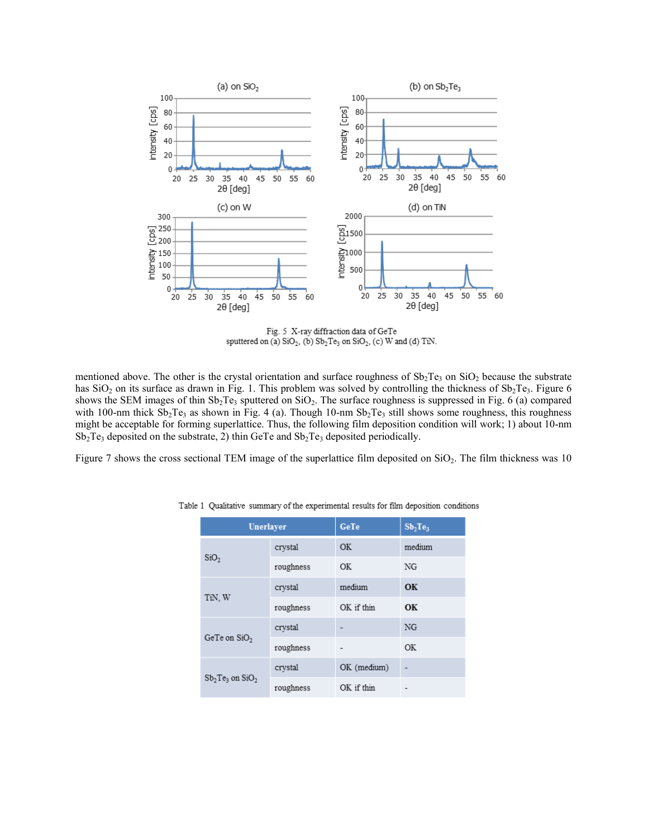

Fig. 5 X-ray diffraction data of GeTe sputtered on (a)  $SiO_2$ , (b)  $Sb_2Te_3$  on  $SiO_2$ , (c) W and (d) TiN.

mentioned above. The other is the crystal orientation and surface roughness of  $Sb_2Te_3$  on  $SiO_2$  because the substrate has  $SiO<sub>2</sub>$  on its surface as drawn in Fig. 1. This problem was solved by controlling the thickness of  $Sb<sub>2</sub>Te<sub>3</sub>$ . Figure 6 shows the SEM images of thin  $Sb_2Te_3$  sputtered on  $SiO_2$ . The surface roughness is suppressed in Fig. 6 (a) compared with 100-nm thick  $Sb_2Te_3$  as shown in Fig. 4 (a). Though 10-nm  $Sb_2Te_3$  still shows some roughness, this roughness might be acceptable for forming superlattice. Thus, the following film deposition condition will work; 1) about 10-nm  $Sb_2Te_3$  deposited on the substrate, 2) thin GeTe and  $Sb_2Te_3$  deposited periodically.

Figure 7 shows the cross sectional TEM image of the superlattice film deposited on SiO<sub>2</sub>. The film thickness was 10

| Unerlayer          |           | GeTe        | Sb <sub>2</sub> Te <sub>3</sub> |
|--------------------|-----------|-------------|---------------------------------|
| SiO <sub>2</sub>   | crystal   | OK          | medium                          |
|                    | roughness | OK          | NG                              |
| TiN, W             | crystal   | medium      | OК                              |
|                    | roughness | OK if thin  | OK                              |
| GeTe on $SiO2$     | crystal   |             | NG                              |
|                    | roughness |             | <b>OK</b>                       |
| $Sb2Te3$ on $SiO2$ | crystal   | OK (medium) |                                 |
|                    | roughness | OK if thin  |                                 |

Table 1 Qualitative summary of the experimental results for film deposition conditions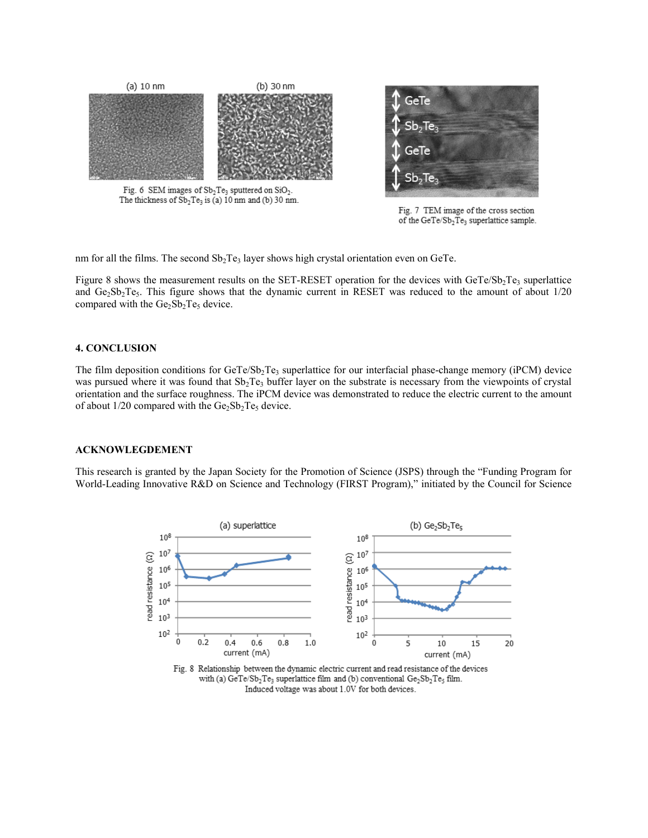

of the GeTe/Sb<sub>2</sub>Te<sub>3</sub> superlattice sample.

nm for all the films. The second  $Sb_2Te_3$  layer shows high crystal orientation even on GeTe.

Figure 8 shows the measurement results on the SET-RESET operation for the devices with  $GeTe/Sb_2Te_3$  superlattice and  $Ge_2Sb_2Te_5$ . This figure shows that the dynamic current in RESET was reduced to the amount of about  $1/20$ compared with the  $Ge_2Sb_2Te_5$  device.

# **4. CONCLUSION**

The film deposition conditions for  $GeTe/Sp_2Te_3$  superlattice for our interfacial phase-change memory (iPCM) device was pursued where it was found that  $Sb_2Te_3$  buffer layer on the substrate is necessary from the viewpoints of crystal orientation and the surface roughness. The iPCM device was demonstrated to reduce the electric current to the amount of about  $1/20$  compared with the  $Ge_2Sb_2Te_5$  device.

## **ACKNOWLEGDEMENT**

This research is granted by the Japan Society for the Promotion of Science (JSPS) through the "Funding Program for World-Leading Innovative R&D on Science and Technology (FIRST Program)," initiated by the Council for Science